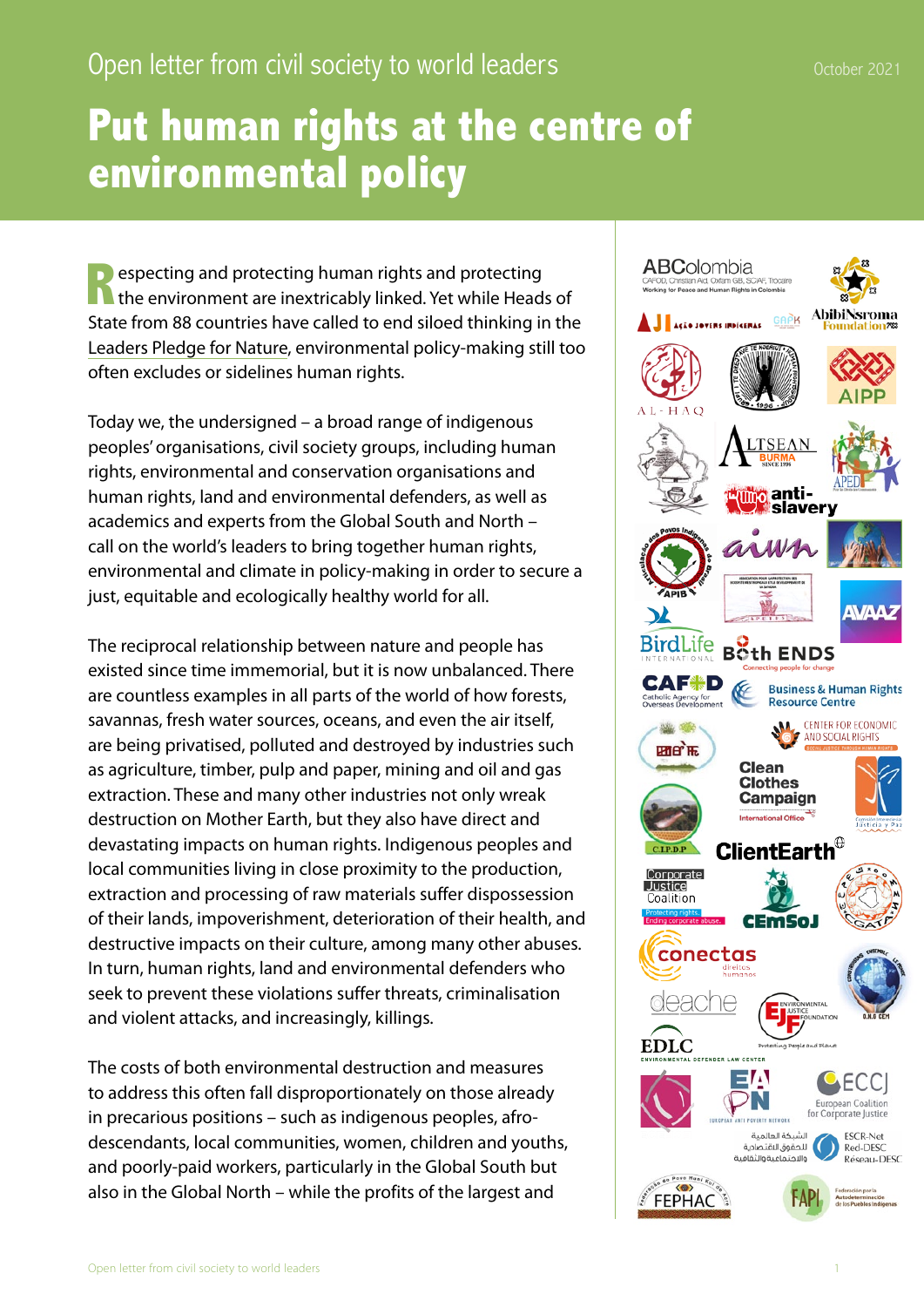## **Put human rights at the centre of environmental policy**

**R** especting and protecting human rights and protecting the environment are inextricably linked. Yet while Heads of State from 88 countries have called to end siloed thinking in the [Leaders Pledge for Nature](https://www.leaderspledgefornature.org/wp-content/uploads/2021/06/Leaders_Pledge_for_Nature_27.09.20-ENGLISH.pdf), environmental policy-making still too often excludes or sidelines human rights.

Today we, the undersigned – a broad range of indigenous peoples' organisations, civil society groups, including human rights, environmental and conservation organisations and human rights, land and environmental defenders, as well as academics and experts from the Global South and North – call on the world's leaders to bring together human rights, environmental and climate in policy-making in order to secure a just, equitable and ecologically healthy world for all.

The reciprocal relationship between nature and people has existed since time immemorial, but it is now unbalanced. There are countless examples in all parts of the world of how forests, savannas, fresh water sources, oceans, and even the air itself, are being privatised, polluted and destroyed by industries such as agriculture, timber, pulp and paper, mining and oil and gas extraction. These and many other industries not only wreak destruction on Mother Earth, but they also have direct and devastating impacts on human rights. Indigenous peoples and local communities living in close proximity to the production, extraction and processing of raw materials suffer dispossession of their lands, impoverishment, deterioration of their health, and destructive impacts on their culture, among many other abuses. In turn, human rights, land and environmental defenders who seek to prevent these violations suffer threats, criminalisation and violent attacks, and increasingly, killings.

The costs of both environmental destruction and measures to address this often fall disproportionately on those already in precarious positions – such as indigenous peoples, afrodescendants, local communities, women, children and youths, and poorly-paid workers, particularly in the Global South but also in the Global North – while the profits of the largest and

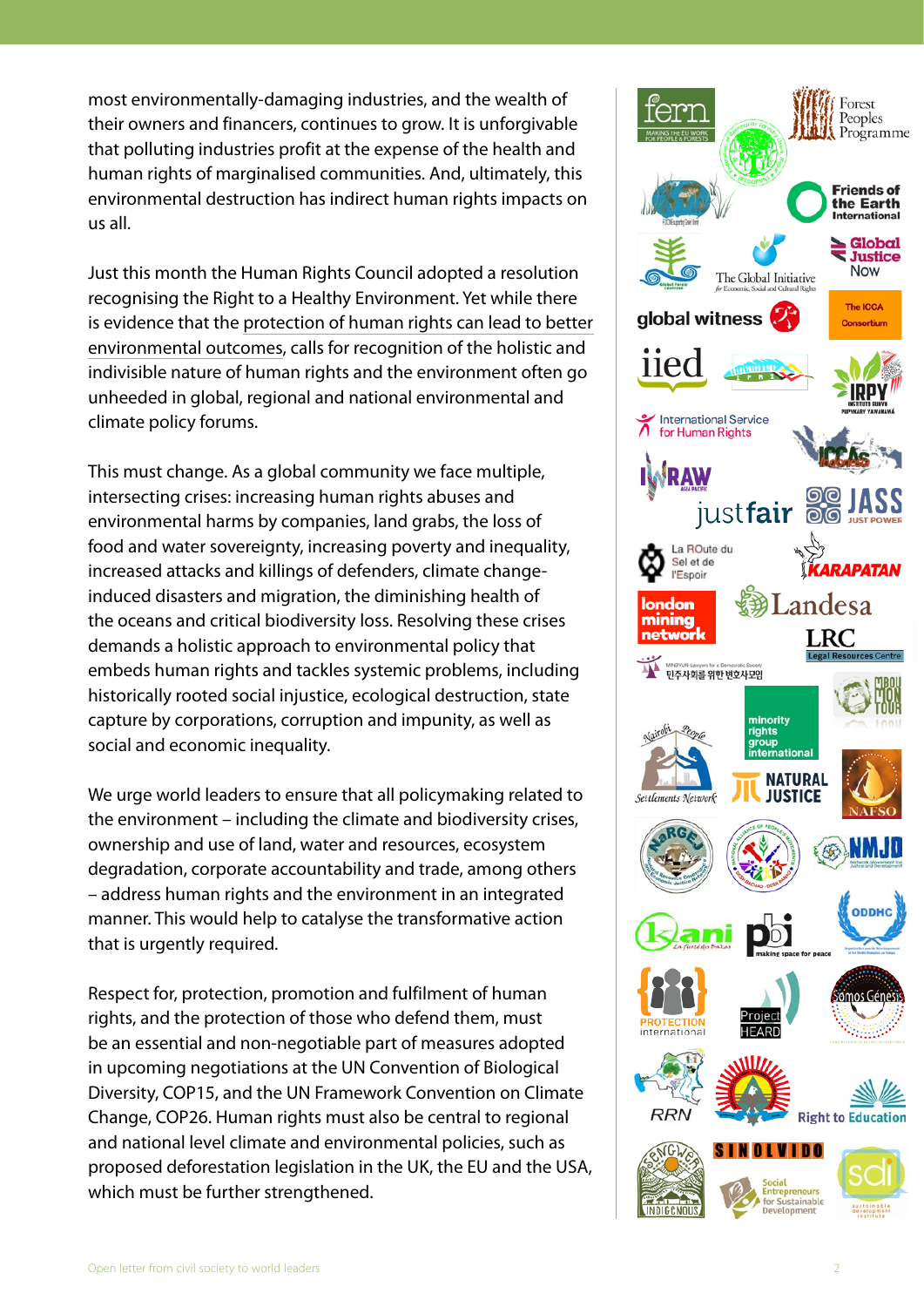most environmentally-damaging industries, and the wealth of their owners and financers, continues to grow. It is unforgivable that polluting industries profit at the expense of the health and human rights of marginalised communities. And, ultimately, this environmental destruction has indirect human rights impacts on us all.

Just this month the Human Rights Council adopted a resolution recognising the Right to a Healthy Environment. Yet while there is evidence that th[e protection of human rights can lead to better](http://www.fao.org/documents/card/en/c/cb2953en)  [environmental outcomes](http://www.fao.org/documents/card/en/c/cb2953en), calls for recognition of the holistic and indivisible nature of human rights and the environment often go unheeded in global, regional and national environmental and climate policy forums.

This must change. As a global community we face multiple, intersecting crises: increasing human rights abuses and environmental harms by companies, land grabs, the loss of food and water sovereignty, increasing poverty and inequality, increased attacks and killings of defenders, climate changeinduced disasters and migration, the diminishing health of the oceans and critical biodiversity loss. Resolving these crises demands a holistic approach to environmental policy that embeds human rights and tackles systemic problems, including historically rooted social injustice, ecological destruction, state capture by corporations, corruption and impunity, as well as social and economic inequality.

We urge world leaders to ensure that all policymaking related to the environment – including the climate and biodiversity crises, ownership and use of land, water and resources, ecosystem degradation, corporate accountability and trade, among others – address human rights and the environment in an integrated manner. This would help to catalyse the transformative action that is urgently required.

Respect for, protection, promotion and fulfilment of human rights, and the protection of those who defend them, must be an essential and non-negotiable part of measures adopted in upcoming negotiations at the UN Convention of Biological Diversity, COP15, and the UN Framework Convention on Climate Change, COP26. Human rights must also be central to regional and national level climate and environmental policies, such as proposed deforestation legislation in the UK, the EU and the USA, which must be further strengthened.

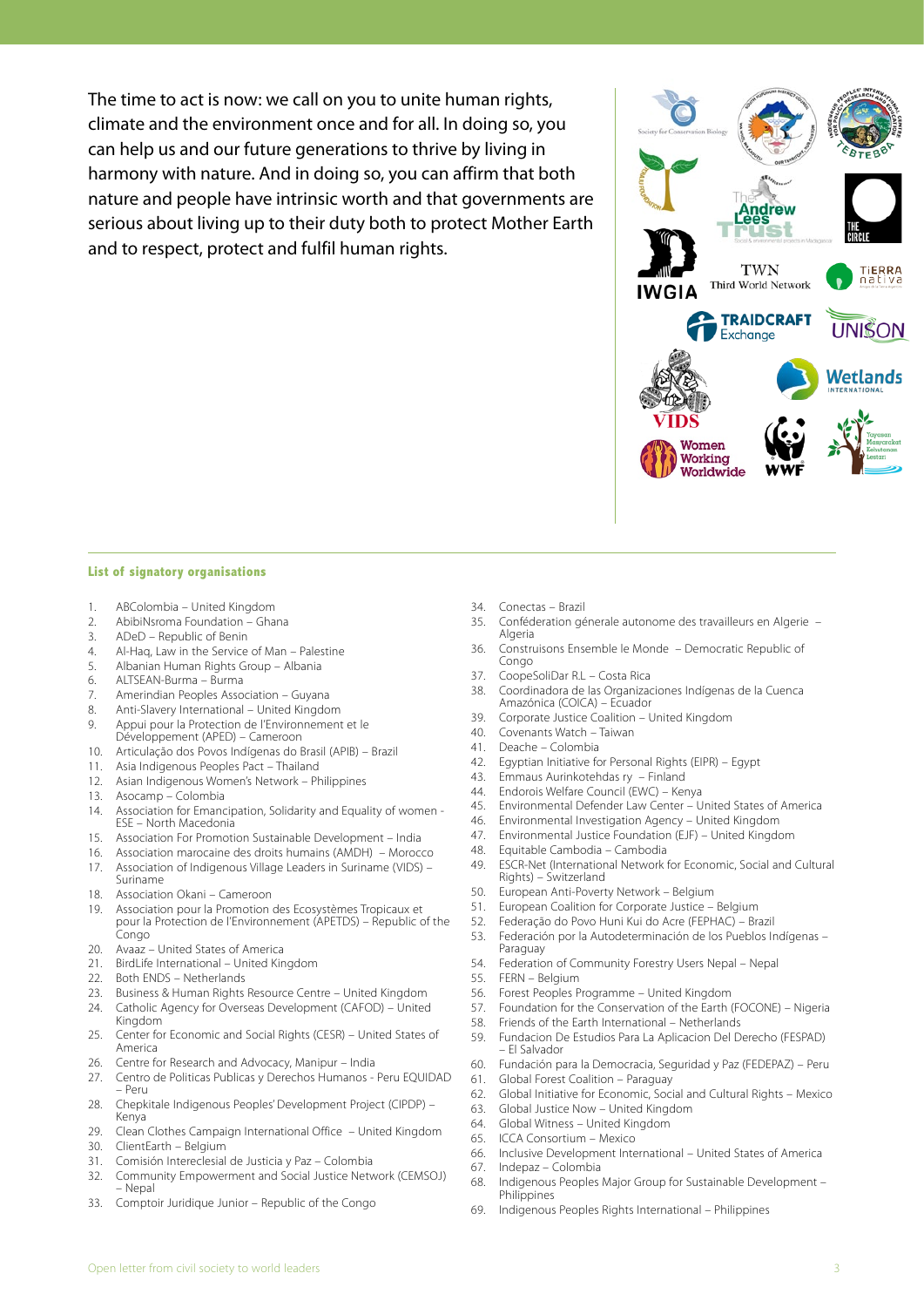The time to act is now: we call on you to unite human rights, climate and the environment once and for all. In doing so, you can help us and our future generations to thrive by living in harmony with nature. And in doing so, you can affirm that both nature and people have intrinsic worth and that governments are serious about living up to their duty both to protect Mother Earth and to respect, protect and fulfil human rights.

## **List of signatory organisations**

- 1. ABColombia United Kingdom
- 2. AbibiNsroma Foundation Ghana<br>3. ADeD Republic of Benin
- 3. ADeD Republic of Benin
- 4. Al-Haq, Law in the Service of Man Palestine
- 5. Albanian Human Rights Group Albania
- 6. ALTSEAN-Burma Burma
- 7. Amerindian Peoples Association Guyana
- 8. Anti-Slavery International United Kingdom
- 9. Appui pour la Protection de l'Environnement et le Développement (APED) – Cameroon
- 10. Articulação dos Povos Indígenas do Brasil (APIB) Brazil
- 11. Asia Indigenous Peoples Pact Thailand
- 12. Asian Indigenous Women's Network Philippines
- 13. Asocamp Colombia<br>14 Association for Emand
- Association for Emancipation, Solidarity and Equality of women -ESE – North Macedonia
- 15. Association For Promotion Sustainable Development India
- 16. Association marocaine des droits humains (AMDH) Morocco
- 17. Association of Indigenous Village Leaders in Suriname (VIDS) Suriname
- 18. Association Okani Cameroon
- 19. Association pour la Promotion des Ecosystèmes Tropicaux et pour la Protection de l'Environnement (APETDS) – Republic of the Congo
- 20. Avaaz United States of America
- 21. BirdLife International United Kingdom<br>22. Both FNDS Netherlands
- Both ENDS Netherlands
- 23. Business & Human Rights Resource Centre United Kingdom
- 24. Catholic Agency for Overseas Development (CAFOD) United Kingdom
- 25. Center for Economic and Social Rights (CESR) United States of America
- 26. Centre for Research and Advocacy, Manipur India
- 27. Centro de Politicas Publicas y Derechos Humanos Peru EQUIDAD – Peru
- 28. Chepkitale Indigenous Peoples' Development Project (CIPDP) Kenya
- 29. Clean Clothes Campaign International Office United Kingdom
- 30. ClientEarth Belgium
- 31. Comisión Intereclesial de Justicia y Paz Colombia
- 32. Community Empowerment and Social Justice Network (CEMSOJ) – Nepal
- 33. Comptoir Juridique Junior Republic of the Congo
- 34. Conectas Brazil
- 35. Conféderation génerale autonome des travailleurs en Algerie Algeria
- 36. Construisons Ensemble le Monde Democratic Republic of Congo
- 37. CoopeSoliDar R.L Costa Rica
- 38. Coordinadora de las Organizaciones Indígenas de la Cuenca Amazónica (COICA) – Ecuador
- 39. Corporate Justice Coalition United Kingdom
- 40. Covenants Watch Taiwan
- 41. Deache Colombia
- 42. Egyptian Initiative for Personal Rights (EIPR) Egypt
- 43. Emmaus Aurinkotehdas ry Finland
- 44. Endorois Welfare Council (EWC) Kenya
- 45. Environmental Defender Law Center United States of America
- 46. Environmental Investigation Agency United Kingdom
- 47. Environmental Justice Foundation (EJF) United Kingdom
- 48. Equitable Cambodia Cambodia
- 49. ESCR-Net (International Network for Economic, Social and Cultural Rights) – Switzerland
- 50. European Anti-Poverty Network Belgium
- 51. European Coalition for Corporate Justice Belgium
- 52. Federação do Povo Huni Kui do Acre (FEPHAC) Brazil
- 53. Federación por la Autodeterminación de los Pueblos Indígenas Paraguay
- 54. Federation of Community Forestry Users Nepal Nepal
- 55. FERN Belgium
- 56. Forest Peoples Programme United Kingdom
- 57. Foundation for the Conservation of the Earth (FOCONE) Nigeria
- 58. Friends of the Earth International Netherlands
- 59. Fundacion De Estudios Para La Aplicacion Del Derecho (FESPAD) – El Salvador
- 60. Fundación para la Democracia, Seguridad y Paz (FEDEPAZ) Peru
- 61. Global Forest Coalition Paraguay
- 62. Global Initiative for Economic, Social and Cultural Rights Mexico
- 63. Global Justice Now United Kingdom
- 64. Global Witness United Kingdom
- 65. ICCA Consortium Mexico
- 66. Inclusive Development International United States of America
- 67. Indepaz Colombia
- 68. Indigenous Peoples Major Group for Sustainable Development **Philippines**
- 69. Indigenous Peoples Rights International Philippines